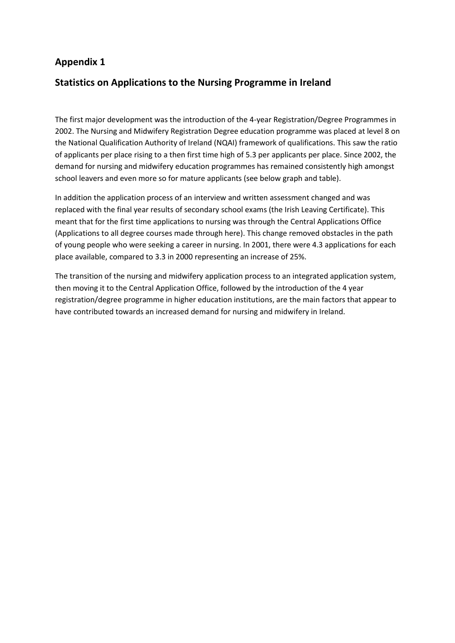## **Appendix 1**

## **Statistics on Applications to the Nursing Programme in Ireland**

The first major development was the introduction of the 4-year Registration/Degree Programmes in 2002. The Nursing and Midwifery Registration Degree education programme was placed at level 8 on the National Qualification Authority of Ireland (NQAI) framework of qualifications. This saw the ratio of applicants per place rising to a then first time high of 5.3 per applicants per place. Since 2002, the demand for nursing and midwifery education programmes has remained consistently high amongst school leavers and even more so for mature applicants (see below graph and table).

In addition the application process of an interview and written assessment changed and was replaced with the final year results of secondary school exams (the Irish Leaving Certificate). This meant that for the first time applications to nursing was through the Central Applications Office (Applications to all degree courses made through here). This change removed obstacles in the path of young people who were seeking a career in nursing. In 2001, there were 4.3 applications for each place available, compared to 3.3 in 2000 representing an increase of 25%.

The transition of the nursing and midwifery application process to an integrated application system, then moving it to the Central Application Office, followed by the introduction of the 4 year registration/degree programme in higher education institutions, are the main factors that appear to have contributed towards an increased demand for nursing and midwifery in Ireland.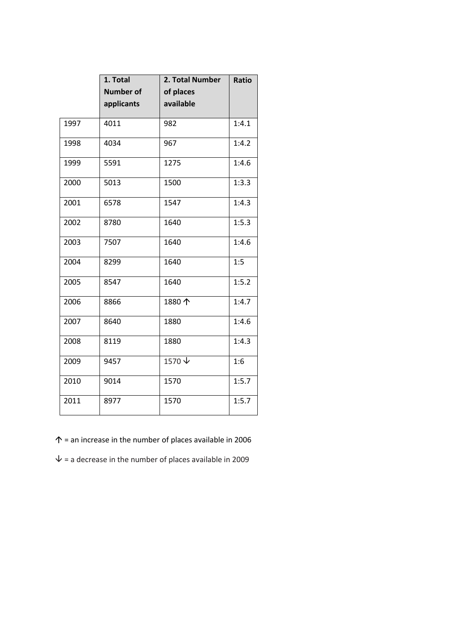|      | 1. Total         | 2. Total Number          | <b>Ratio</b> |
|------|------------------|--------------------------|--------------|
|      | <b>Number of</b> | of places                |              |
|      | applicants       | available                |              |
| 1997 | 4011             | 982                      | 1:4.1        |
| 1998 | 4034             | 967                      | 1:4.2        |
| 1999 | 5591             | 1275                     | 1:4.6        |
| 2000 | 5013             | 1500                     | 1:3.3        |
| 2001 | 6578             | 1547                     | 1:4.3        |
| 2002 | 8780             | 1640                     | 1:5.3        |
| 2003 | 7507             | 1640                     | 1:4.6        |
| 2004 | 8299             | 1640                     | 1:5          |
| 2005 | 8547             | 1640                     | 1:5.2        |
| 2006 | 8866             | 1880个                    | 1:4.7        |
| 2007 | 8640             | 1880                     | 1:4.6        |
| 2008 | 8119             | 1880                     | 1:4.3        |
| 2009 | 9457             | $1570 \text{ }\sqrt{\ }$ | 1:6          |
| 2010 | 9014             | 1570                     | 1:5.7        |
| 2011 | 8977             | 1570                     | 1:5.7        |

 $\uparrow$  = an increase in the number of places available in 2006

 $\psi$  = a decrease in the number of places available in 2009